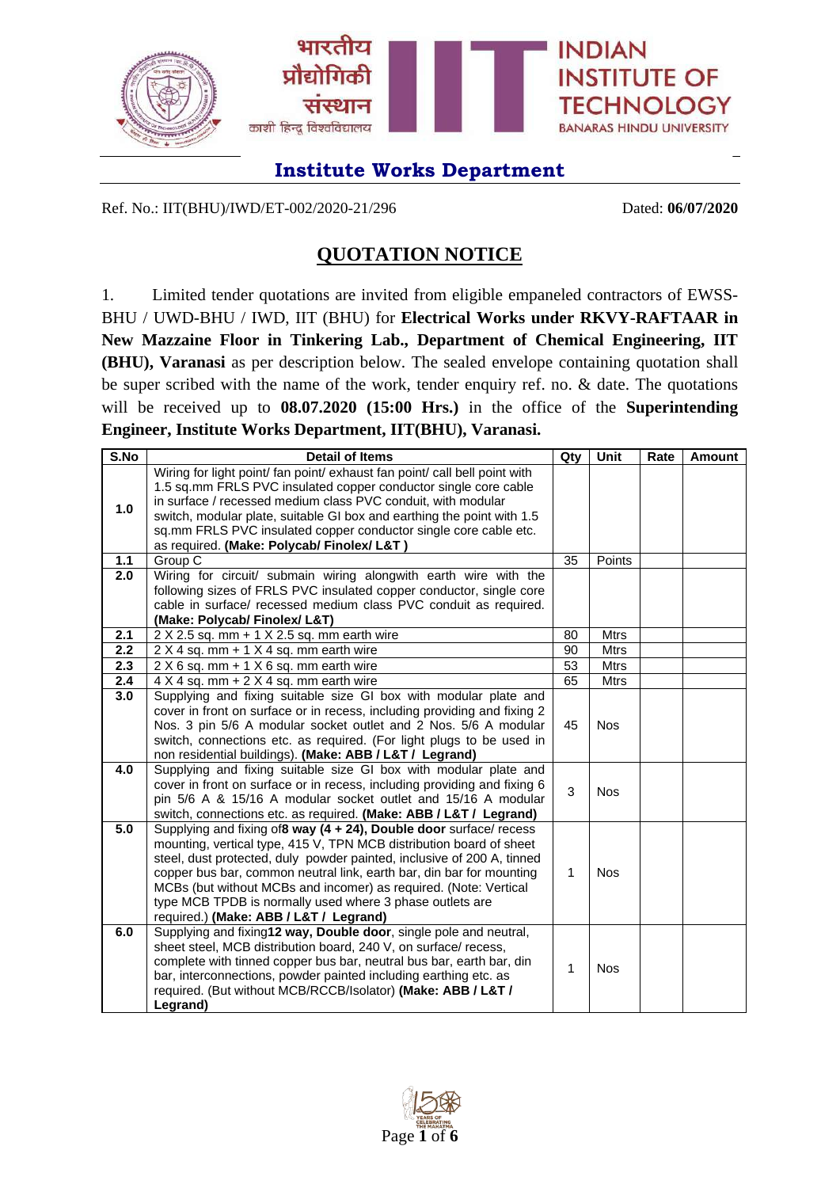

Ref. No.: IIT(BHU)/IWD/ET-002/2020-21/296 Dated: **06/07/2020**

## **QUOTATION NOTICE**

1. Limited tender quotations are invited from eligible empaneled contractors of EWSS-BHU / UWD-BHU / IWD, IIT (BHU) for **Electrical Works under RKVY-RAFTAAR in New Mazzaine Floor in Tinkering Lab., Department of Chemical Engineering, IIT (BHU), Varanasi** as per description below. The sealed envelope containing quotation shall be super scribed with the name of the work, tender enquiry ref. no. & date. The quotations will be received up to **08.07.2020 (15:00 Hrs.)** in the office of the **Superintending Engineer, Institute Works Department, IIT(BHU), Varanasi.**

| S.No | <b>Detail of Items</b>                                                                                                                         | Qty | Unit        | Rate | <b>Amount</b> |
|------|------------------------------------------------------------------------------------------------------------------------------------------------|-----|-------------|------|---------------|
|      | Wiring for light point/ fan point/ exhaust fan point/ call bell point with                                                                     |     |             |      |               |
|      | 1.5 sq.mm FRLS PVC insulated copper conductor single core cable<br>in surface / recessed medium class PVC conduit, with modular                |     |             |      |               |
| 1.0  | switch, modular plate, suitable GI box and earthing the point with 1.5                                                                         |     |             |      |               |
|      | sq.mm FRLS PVC insulated copper conductor single core cable etc.                                                                               |     |             |      |               |
|      | as required. (Make: Polycab/ Finolex/ L&T)                                                                                                     |     |             |      |               |
| 1.1  | Group C                                                                                                                                        | 35  | Points      |      |               |
| 2.0  | Wiring for circuit/ submain wiring alongwith earth wire with the                                                                               |     |             |      |               |
|      | following sizes of FRLS PVC insulated copper conductor, single core                                                                            |     |             |      |               |
|      | cable in surface/ recessed medium class PVC conduit as required.                                                                               |     |             |      |               |
|      | (Make: Polycab/ Finolex/ L&T)                                                                                                                  |     |             |      |               |
| 2.1  | $2$ X 2.5 sq. mm + 1 X 2.5 sq. mm earth wire                                                                                                   | 80  | <b>Mtrs</b> |      |               |
| 2.2  | $2 \times 4$ sq. mm + 1 $\times$ 4 sq. mm earth wire                                                                                           | 90  | <b>Mtrs</b> |      |               |
| 2.3  | $2 \times 6$ sq. mm + 1 $\times$ 6 sq. mm earth wire                                                                                           | 53  | <b>Mtrs</b> |      |               |
| 2.4  | $4 \times 4$ sq. mm + 2 $\times$ 4 sq. mm earth wire                                                                                           | 65  | <b>Mtrs</b> |      |               |
| 3.0  | Supplying and fixing suitable size GI box with modular plate and                                                                               |     |             |      |               |
|      | cover in front on surface or in recess, including providing and fixing 2                                                                       |     |             |      |               |
|      | Nos. 3 pin 5/6 A modular socket outlet and 2 Nos. 5/6 A modular                                                                                | 45  | <b>Nos</b>  |      |               |
|      | switch, connections etc. as required. (For light plugs to be used in                                                                           |     |             |      |               |
|      | non residential buildings). (Make: ABB / L&T / Legrand)                                                                                        |     |             |      |               |
| 4.0  | Supplying and fixing suitable size GI box with modular plate and                                                                               |     |             |      |               |
|      | cover in front on surface or in recess, including providing and fixing 6                                                                       | 3   | <b>Nos</b>  |      |               |
|      | pin 5/6 A & 15/16 A modular socket outlet and 15/16 A modular                                                                                  |     |             |      |               |
|      | switch, connections etc. as required. (Make: ABB / L&T / Legrand)                                                                              |     |             |      |               |
| 5.0  | Supplying and fixing of8 way (4 + 24), Double door surface/ recess                                                                             |     |             |      |               |
|      | mounting, vertical type, 415 V, TPN MCB distribution board of sheet                                                                            |     |             |      |               |
|      | steel, dust protected, duly powder painted, inclusive of 200 A, tinned<br>copper bus bar, common neutral link, earth bar, din bar for mounting | 1   | <b>Nos</b>  |      |               |
|      | MCBs (but without MCBs and incomer) as required. (Note: Vertical                                                                               |     |             |      |               |
|      | type MCB TPDB is normally used where 3 phase outlets are                                                                                       |     |             |      |               |
|      | required.) (Make: ABB / L&T / Legrand)                                                                                                         |     |             |      |               |
| 6.0  | Supplying and fixing12 way, Double door, single pole and neutral,                                                                              |     |             |      |               |
|      | sheet steel, MCB distribution board, 240 V, on surface/ recess,                                                                                |     |             |      |               |
|      | complete with tinned copper bus bar, neutral bus bar, earth bar, din                                                                           |     |             |      |               |
|      | bar, interconnections, powder painted including earthing etc. as                                                                               | 1   | <b>Nos</b>  |      |               |
|      | required. (But without MCB/RCCB/Isolator) (Make: ABB / L&T /                                                                                   |     |             |      |               |
|      | Legrand)                                                                                                                                       |     |             |      |               |

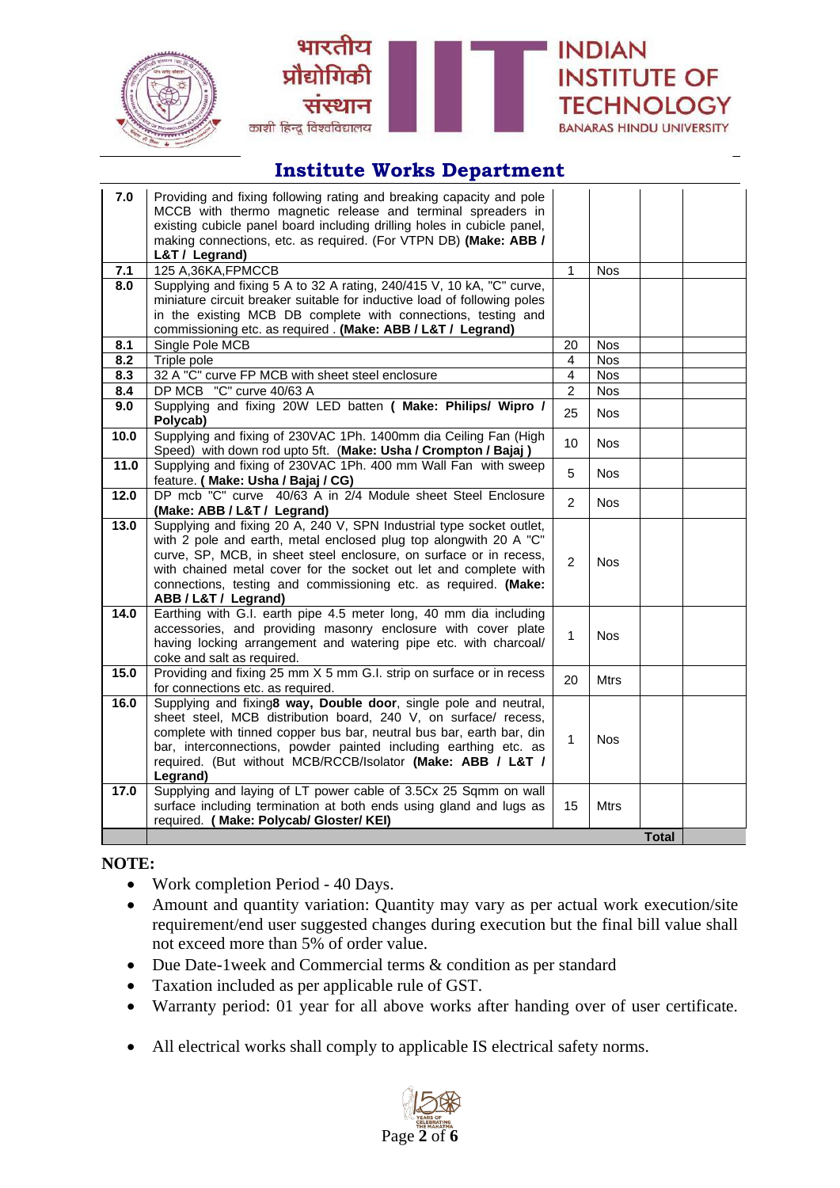





| 7.0        | Providing and fixing following rating and breaking capacity and pole                                                                   |                     |                 |              |  |
|------------|----------------------------------------------------------------------------------------------------------------------------------------|---------------------|-----------------|--------------|--|
|            | MCCB with thermo magnetic release and terminal spreaders in<br>existing cubicle panel board including drilling holes in cubicle panel, |                     |                 |              |  |
|            | making connections, etc. as required. (For VTPN DB) (Make: ABB /                                                                       |                     |                 |              |  |
|            | L&T / Legrand)                                                                                                                         |                     |                 |              |  |
| 7.1        | 125 A, 36KA, FPMCCB                                                                                                                    | $\mathbf{1}$        | <b>Nos</b>      |              |  |
| 8.0        | Supplying and fixing 5 A to 32 A rating, 240/415 V, 10 kA, "C" curve,                                                                  |                     |                 |              |  |
|            | miniature circuit breaker suitable for inductive load of following poles                                                               |                     |                 |              |  |
|            | in the existing MCB DB complete with connections, testing and                                                                          |                     |                 |              |  |
|            | commissioning etc. as required. (Make: ABB / L&T / Legrand)                                                                            |                     |                 |              |  |
| 8.1        | Single Pole MCB                                                                                                                        | 20                  | <b>Nos</b>      |              |  |
| 8.2        | Triple pole                                                                                                                            | 4<br>$\overline{4}$ | <b>Nos</b>      |              |  |
| 8.3<br>8.4 | 32 A "C" curve FP MCB with sheet steel enclosure<br>DP MCB "C" curve 40/63 A                                                           | $\overline{c}$      | N <sub>os</sub> |              |  |
| 9.0        | Supplying and fixing 20W LED batten ( Make: Philips/ Wipro /                                                                           |                     | <b>Nos</b>      |              |  |
|            | Polycab)                                                                                                                               | 25                  | <b>Nos</b>      |              |  |
| 10.0       | Supplying and fixing of 230VAC 1Ph. 1400mm dia Ceiling Fan (High                                                                       |                     |                 |              |  |
|            | Speed) with down rod upto 5ft. (Make: Usha / Crompton / Bajaj)                                                                         | 10                  | <b>Nos</b>      |              |  |
| 11.0       | Supplying and fixing of 230VAC 1Ph. 400 mm Wall Fan with sweep                                                                         | 5                   | <b>Nos</b>      |              |  |
|            | feature. (Make: Usha / Bajaj / CG)                                                                                                     |                     |                 |              |  |
| 12.0       | DP mcb "C" curve 40/63 A in 2/4 Module sheet Steel Enclosure                                                                           | $\overline{2}$      | <b>Nos</b>      |              |  |
|            | (Make: ABB / L&T / Legrand)                                                                                                            |                     |                 |              |  |
| 13.0       | Supplying and fixing 20 A, 240 V, SPN Industrial type socket outlet,                                                                   |                     |                 |              |  |
|            | with 2 pole and earth, metal enclosed plug top alongwith 20 A "C"                                                                      |                     |                 |              |  |
|            | curve, SP, MCB, in sheet steel enclosure, on surface or in recess,                                                                     | 2                   | <b>Nos</b>      |              |  |
|            | with chained metal cover for the socket out let and complete with<br>connections, testing and commissioning etc. as required. (Make:   |                     |                 |              |  |
|            | ABB / L&T / Legrand)                                                                                                                   |                     |                 |              |  |
| 14.0       | Earthing with G.I. earth pipe 4.5 meter long, 40 mm dia including                                                                      |                     |                 |              |  |
|            | accessories, and providing masonry enclosure with cover plate                                                                          |                     |                 |              |  |
|            | having locking arrangement and watering pipe etc. with charcoal/                                                                       | $\mathbf{1}$        | <b>Nos</b>      |              |  |
|            | coke and salt as required.                                                                                                             |                     |                 |              |  |
| 15.0       | Providing and fixing 25 mm X 5 mm G.I. strip on surface or in recess                                                                   | 20                  | <b>Mtrs</b>     |              |  |
|            | for connections etc. as required.                                                                                                      |                     |                 |              |  |
| 16.0       | Supplying and fixing8 way, Double door, single pole and neutral,                                                                       |                     |                 |              |  |
|            | sheet steel, MCB distribution board, 240 V, on surface/ recess,                                                                        |                     |                 |              |  |
|            | complete with tinned copper bus bar, neutral bus bar, earth bar, din                                                                   | $\mathbf{1}$        | <b>Nos</b>      |              |  |
|            | bar, interconnections, powder painted including earthing etc. as                                                                       |                     |                 |              |  |
|            | required. (But without MCB/RCCB/Isolator (Make: ABB / L&T /<br>Legrand)                                                                |                     |                 |              |  |
| 17.0       | Supplying and laying of LT power cable of 3.5Cx 25 Sqmm on wall                                                                        |                     |                 |              |  |
|            | surface including termination at both ends using gland and lugs as                                                                     | 15                  | <b>Mtrs</b>     |              |  |
|            | required. ( Make: Polycab/ Gloster/ KEI)                                                                                               |                     |                 |              |  |
|            |                                                                                                                                        |                     |                 | <b>Total</b> |  |
|            |                                                                                                                                        |                     |                 |              |  |

#### **NOTE:**

- Work completion Period 40 Days.
- Amount and quantity variation: Quantity may vary as per actual work execution/site requirement/end user suggested changes during execution but the final bill value shall not exceed more than 5% of order value.
- Due Date-1 week and Commercial terms & condition as per standard
- Taxation included as per applicable rule of GST.
- Warranty period: 01 year for all above works after handing over of user certificate.
- All electrical works shall comply to applicable IS electrical safety norms.

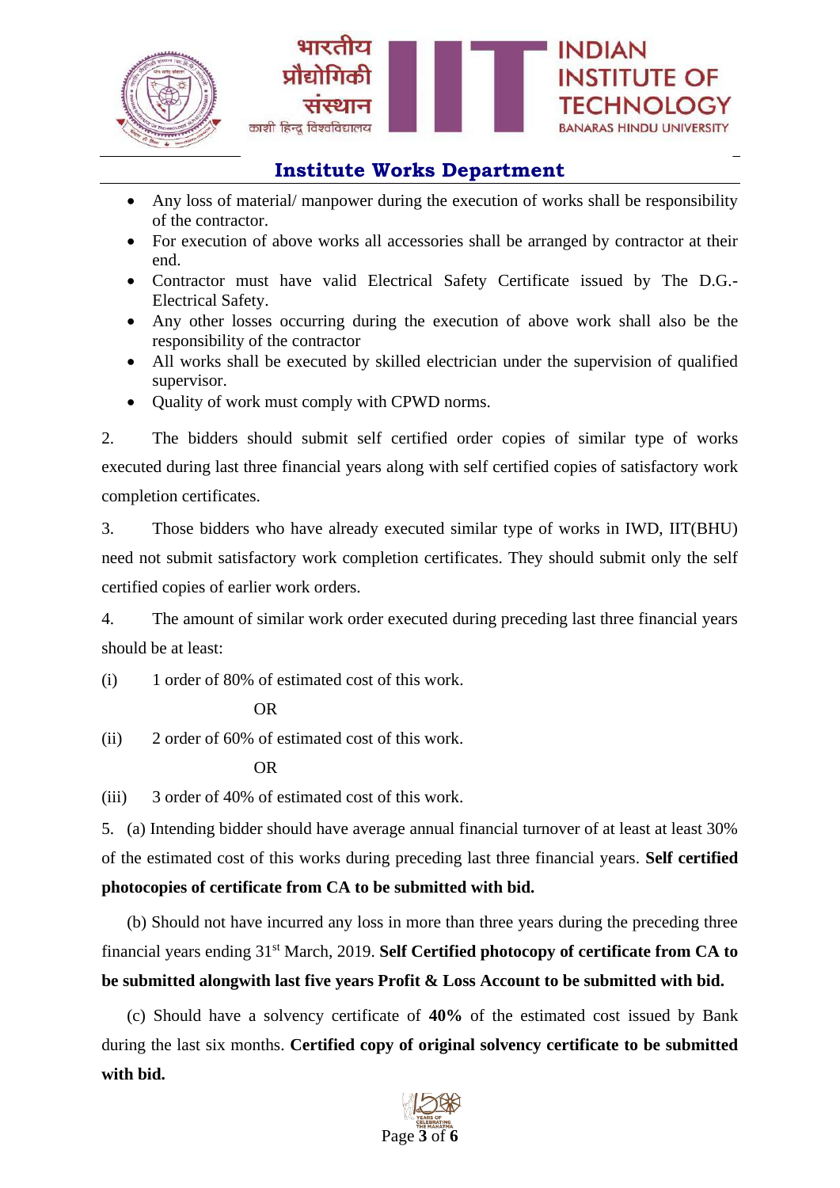



- Any loss of material/ manpower during the execution of works shall be responsibility of the contractor.
- For execution of above works all accessories shall be arranged by contractor at their end.
- Contractor must have valid Electrical Safety Certificate issued by The D.G.- Electrical Safety.
- Any other losses occurring during the execution of above work shall also be the responsibility of the contractor
- All works shall be executed by skilled electrician under the supervision of qualified supervisor.
- Quality of work must comply with CPWD norms.

2. The bidders should submit self certified order copies of similar type of works executed during last three financial years along with self certified copies of satisfactory work completion certificates.

3. Those bidders who have already executed similar type of works in IWD, IIT(BHU) need not submit satisfactory work completion certificates. They should submit only the self certified copies of earlier work orders.

4. The amount of similar work order executed during preceding last three financial years should be at least:

(i) 1 order of 80% of estimated cost of this work.

OR

(ii) 2 order of 60% of estimated cost of this work.

OR

(iii) 3 order of 40% of estimated cost of this work.

5. (a) Intending bidder should have average annual financial turnover of at least at least 30% of the estimated cost of this works during preceding last three financial years. **Self certified photocopies of certificate from CA to be submitted with bid.**

(b) Should not have incurred any loss in more than three years during the preceding three financial years ending 31st March, 2019. **Self Certified photocopy of certificate from CA to be submitted alongwith last five years Profit & Loss Account to be submitted with bid.**

(c) Should have a solvency certificate of **40%** of the estimated cost issued by Bank during the last six months. **Certified copy of original solvency certificate to be submitted with bid.**

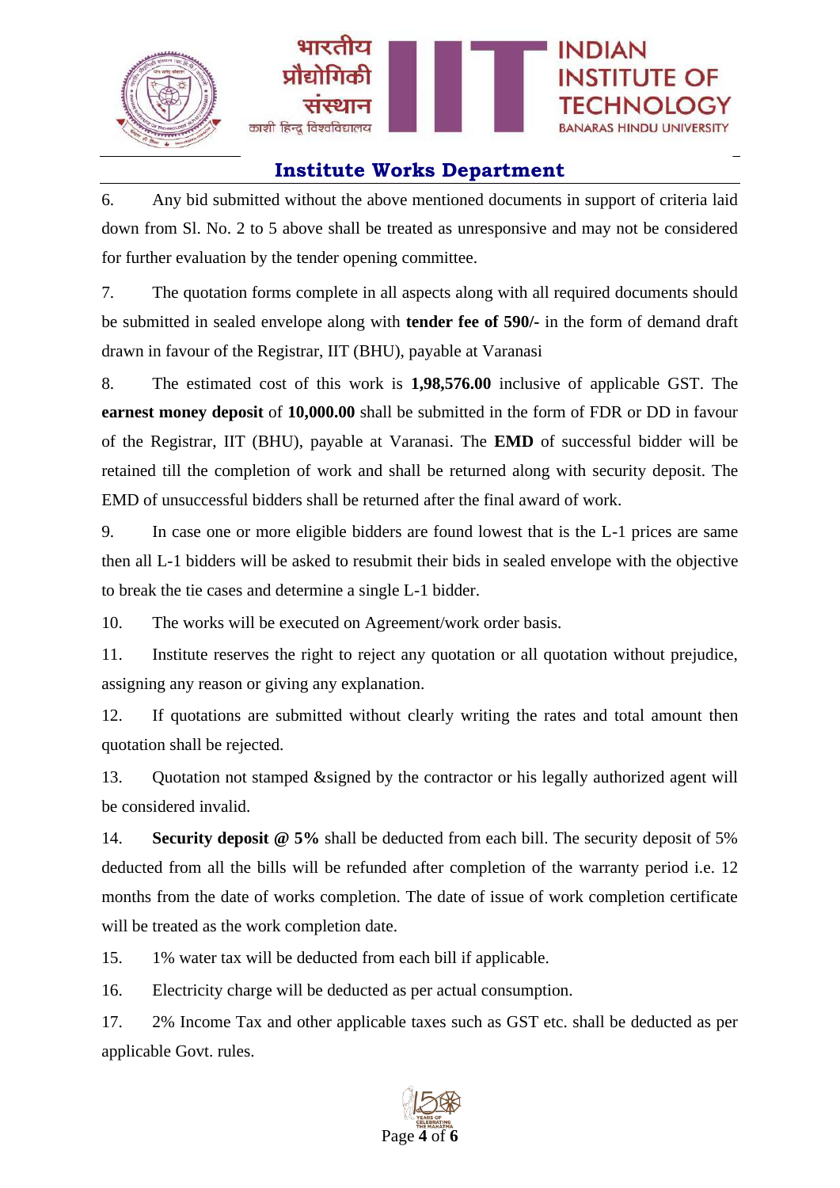



6. Any bid submitted without the above mentioned documents in support of criteria laid down from Sl. No. 2 to 5 above shall be treated as unresponsive and may not be considered for further evaluation by the tender opening committee.

7. The quotation forms complete in all aspects along with all required documents should be submitted in sealed envelope along with **tender fee of 590/-** in the form of demand draft drawn in favour of the Registrar, IIT (BHU), payable at Varanasi

8. The estimated cost of this work is **1,98,576.00** inclusive of applicable GST. The **earnest money deposit** of **10,000.00** shall be submitted in the form of FDR or DD in favour of the Registrar, IIT (BHU), payable at Varanasi. The **EMD** of successful bidder will be retained till the completion of work and shall be returned along with security deposit. The EMD of unsuccessful bidders shall be returned after the final award of work.

9. In case one or more eligible bidders are found lowest that is the L-1 prices are same then all L-1 bidders will be asked to resubmit their bids in sealed envelope with the objective to break the tie cases and determine a single L-1 bidder.

10. The works will be executed on Agreement/work order basis.

11. Institute reserves the right to reject any quotation or all quotation without prejudice, assigning any reason or giving any explanation.

12. If quotations are submitted without clearly writing the rates and total amount then quotation shall be rejected.

13. Quotation not stamped &signed by the contractor or his legally authorized agent will be considered invalid.

14. **Security deposit @ 5%** shall be deducted from each bill. The security deposit of 5% deducted from all the bills will be refunded after completion of the warranty period i.e. 12 months from the date of works completion. The date of issue of work completion certificate will be treated as the work completion date.

15. 1% water tax will be deducted from each bill if applicable.

16. Electricity charge will be deducted as per actual consumption.

17. 2% Income Tax and other applicable taxes such as GST etc. shall be deducted as per applicable Govt. rules.

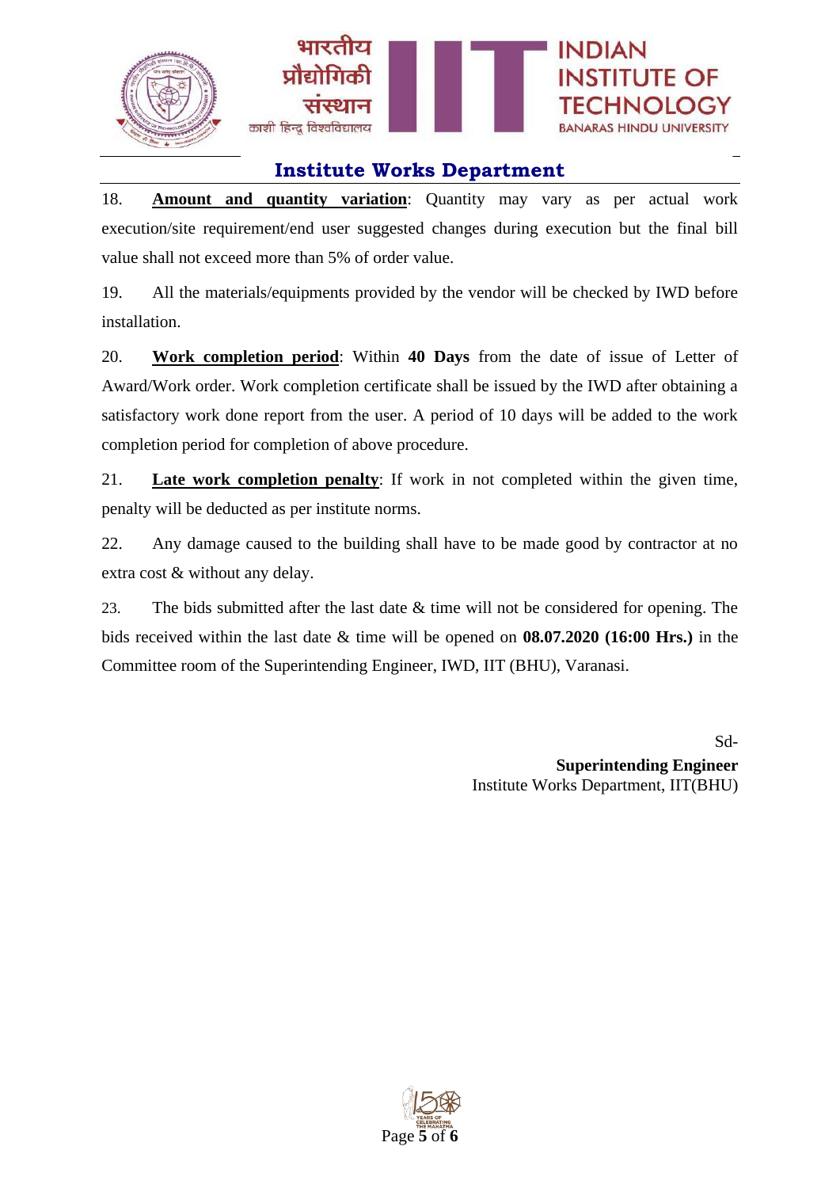



18. **Amount and quantity variation**: Quantity may vary as per actual work execution/site requirement/end user suggested changes during execution but the final bill value shall not exceed more than 5% of order value.

19. All the materials/equipments provided by the vendor will be checked by IWD before installation.

20. **Work completion period**: Within **40 Days** from the date of issue of Letter of Award/Work order. Work completion certificate shall be issued by the IWD after obtaining a satisfactory work done report from the user. A period of 10 days will be added to the work completion period for completion of above procedure.

21. **Late work completion penalty**: If work in not completed within the given time, penalty will be deducted as per institute norms.

22. Any damage caused to the building shall have to be made good by contractor at no extra cost & without any delay.

23. The bids submitted after the last date & time will not be considered for opening. The bids received within the last date & time will be opened on **08.07.2020 (16:00 Hrs.)** in the Committee room of the Superintending Engineer, IWD, IIT (BHU), Varanasi.

> Sd-**Superintending Engineer** Institute Works Department, IIT(BHU)